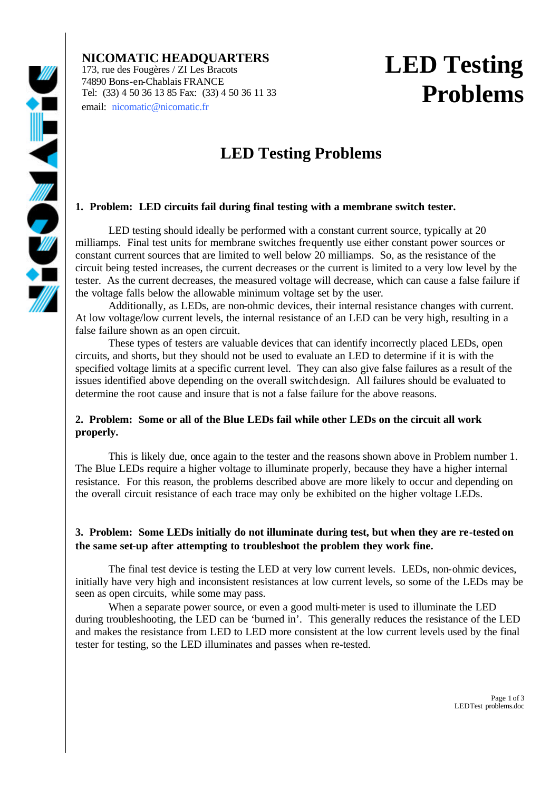**NICOMATIC HEADQUARTERS** 173, rue des Fougères / ZI Les Bracots 74890 Bons-en-Chablais FRANCE Tel: (33) 4 50 36 13 85 Fax: (33) 4 50 36 11 33 email: nicomatic@nicomatic.fr

## **LED Testing Problems**

### **LED Testing Problems**

### **1. Problem: LED circuits fail during final testing with a membrane switch tester.**

LED testing should ideally be performed with a constant current source, typically at 20 milliamps. Final test units for membrane switches frequently use either constant power sources or constant current sources that are limited to well below 20 milliamps. So, as the resistance of the circuit being tested increases, the current decreases or the current is limited to a very low level by the tester. As the current decreases, the measured voltage will decrease, which can cause a false failure if the voltage falls below the allowable minimum voltage set by the user.

Additionally, as LEDs, are non-ohmic devices, their internal resistance changes with current. At low voltage/low current levels, the internal resistance of an LED can be very high, resulting in a false failure shown as an open circuit.

These types of testers are valuable devices that can identify incorrectly placed LEDs, open circuits, and shorts, but they should not be used to evaluate an LED to determine if it is with the specified voltage limits at a specific current level. They can also give false failures as a result of the issues identified above depending on the overall switch design. All failures should be evaluated to determine the root cause and insure that is not a false failure for the above reasons.

### **2. Problem: Some or all of the Blue LEDs fail while other LEDs on the circuit all work properly.**

This is likely due, once again to the tester and the reasons shown above in Problem number 1. The Blue LEDs require a higher voltage to illuminate properly, because they have a higher internal resistance. For this reason, the problems described above are more likely to occur and depending on the overall circuit resistance of each trace may only be exhibited on the higher voltage LEDs.

### **3. Problem: Some LEDs initially do not illuminate during test, but when they are re-tested on the same set-up after attempting to troubleshoot the problem they work fine.**

The final test device is testing the LED at very low current levels. LEDs, non-ohmic devices, initially have very high and inconsistent resistances at low current levels, so some of the LEDs may be seen as open circuits, while some may pass.

When a separate power source, or even a good multi-meter is used to illuminate the LED during troubleshooting, the LED can be 'burned in'. This generally reduces the resistance of the LED and makes the resistance from LED to LED more consistent at the low current levels used by the final tester for testing, so the LED illuminates and passes when re-tested.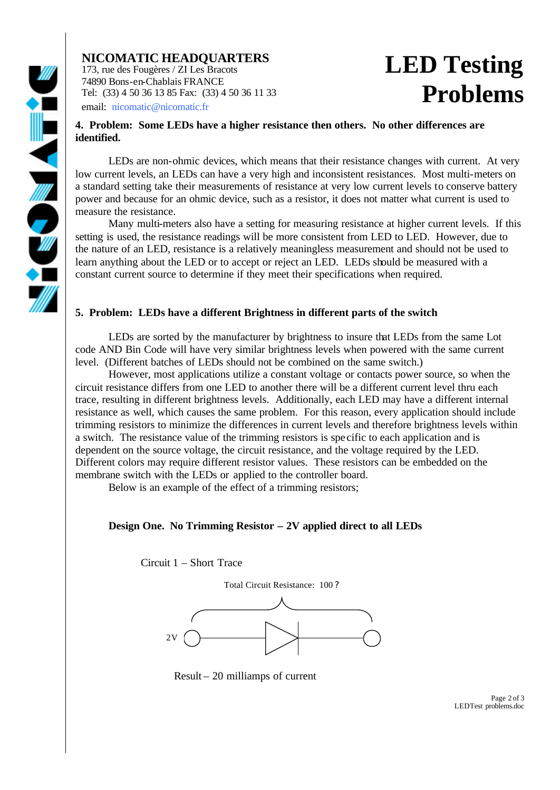### **NICOMATIC HEADQUARTERS**

173, rue des Fougères / ZI Les Bracots 74890 Bons-en-Chablais FRANCE Tel: (33) 4 50 36 13 85 Fax: (33) 4 50 36 11 33 email: nicomatic@nicomatic.fr

# **LED Testing Problems**

#### **4. Problem: Some LEDs have a higher resistance then others. No other differences are identified.**

LEDs are non-ohmic devices, which means that their resistance changes with current. At very low current levels, an LEDs can have a very high and inconsistent resistances. Most multi-meters on a standard setting take their measurements of resistance at very low current levels to conserve battery power and because for an ohmic device, such as a resistor, it does not matter what current is used to measure the resistance.

Many multi-meters also have a setting for measuring resistance at higher current levels. If this setting is used, the resistance readings will be more consistent from LED to LED. However, due to the nature of an LED, resistance is a relatively meaningless measurement and should not be used to learn anything about the LED or to accept or reject an LED. LEDs should be measured with a constant current source to determine if they meet their specifications when required.

#### **5. Problem: LEDs have a different Brightness in different parts of the switch**

LEDs are sorted by the manufacturer by brightness to insure that LEDs from the same Lot code AND Bin Code will have very similar brightness levels when powered with the same current level. (Different batches of LEDs should not be combined on the same switch.)

However, most applications utilize a constant voltage or contacts power source, so when the circuit resistance differs from one LED to another there will be a different current level thru each trace, resulting in different brightness levels. Additionally, each LED may have a different internal resistance as well, which causes the same problem. For this reason, every application should include trimming resistors to minimize the differences in current levels and therefore brightness levels within a switch. The resistance value of the trimming resistors is spe cific to each application and is dependent on the source voltage, the circuit resistance, and the voltage required by the LED. Different colors may require different resistor values. These resistors can be embedded on the membrane switch with the LEDs or applied to the controller board.

Below is an example of the effect of a trimming resistors;

#### **Design One. No Trimming Resistor – 2V applied direct to all LEDs**

Circuit 1 – Short Trace



Result – 20 milliamps of current

Page 2 of 3 LEDTest problems.doc